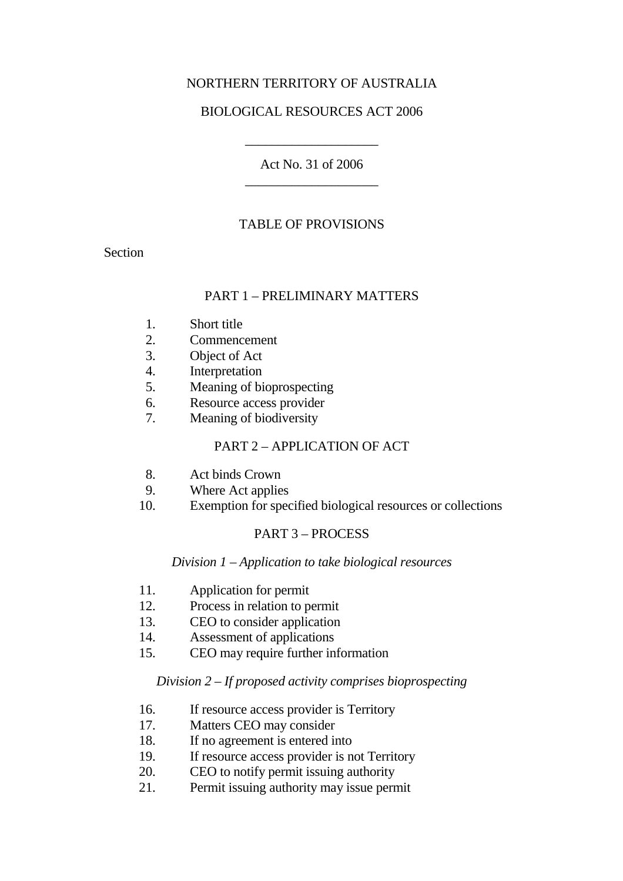# NORTHERN TERRITORY OF AUSTRALIA

# BIOLOGICAL RESOURCES ACT 2006

Act No. 31 of 2006 \_\_\_\_\_\_\_\_\_\_\_\_\_\_\_\_\_\_\_\_

\_\_\_\_\_\_\_\_\_\_\_\_\_\_\_\_\_\_\_\_

## TABLE OF PROVISIONS

Section

## PART 1 – PRELIMINARY MATTERS

- 1. Short title
- 2. Commencement
- 3. Object of Act
- 4. Interpretation
- 5. Meaning of bioprospecting
- 6. Resource access provider
- 7. Meaning of biodiversity

#### PART 2 – APPLICATION OF ACT

- 8. Act binds Crown
- 9. Where Act applies
- 10. Exemption for specified biological resources or collections

# PART 3 – PROCESS

#### *Division 1 – Application to take biological resources*

- 11. Application for permit
- 12. Process in relation to permit
- 13. CEO to consider application
- 14. Assessment of applications
- 15. CEO may require further information

#### *Division 2 – If proposed activity comprises bioprospecting*

- 16. If resource access provider is Territory
- 17. Matters CEO may consider
- 18. If no agreement is entered into
- 19. If resource access provider is not Territory
- 20. CEO to notify permit issuing authority
- 21. Permit issuing authority may issue permit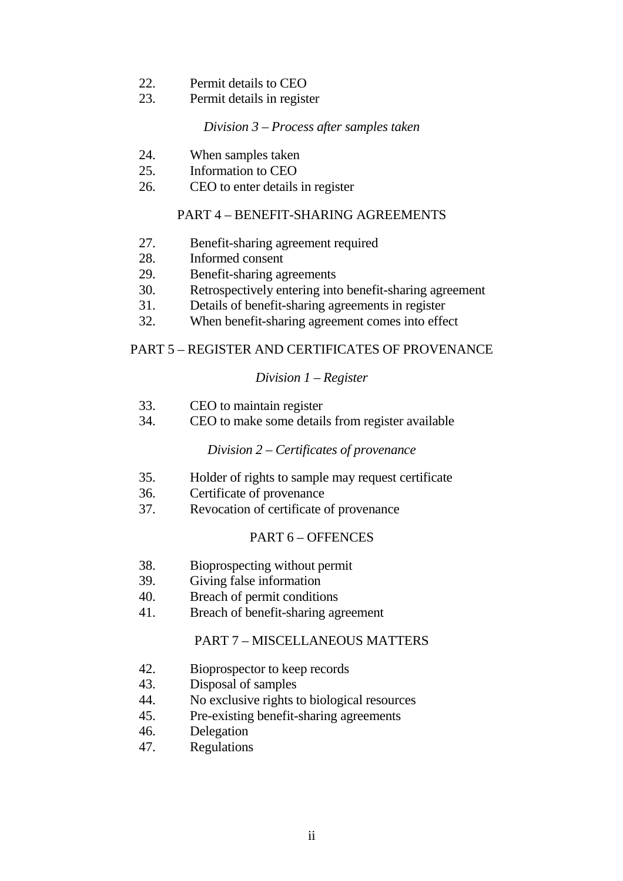- 22. Permit details to CEO
- 23. Permit details in register

#### *Division 3 – Process after samples taken*

- 24. When samples taken
- 25. Information to CEO
- 26. CEO to enter details in register

# PART 4 – BENEFIT-SHARING AGREEMENTS

- 27. Benefit-sharing agreement required
- 28. Informed consent
- 29. Benefit-sharing agreements
- 30. Retrospectively entering into benefit-sharing agreement
- 31. Details of benefit-sharing agreements in register
- 32. When benefit-sharing agreement comes into effect

# PART 5 – REGISTER AND CERTIFICATES OF PROVENANCE

# *Division 1 – Register*

- 33. CEO to maintain register
- 34. CEO to make some details from register available

# *Division 2 – Certificates of provenance*

- 35. Holder of rights to sample may request certificate
- 36. Certificate of provenance
- 37. Revocation of certificate of provenance

# PART 6 – OFFENCES

- 38. Bioprospecting without permit
- 39. Giving false information
- 40. Breach of permit conditions
- 41. Breach of benefit-sharing agreement

# PART 7 – MISCELLANEOUS MATTERS

- 42. Bioprospector to keep records
- 43. Disposal of samples
- 44. No exclusive rights to biological resources
- 45. Pre-existing benefit-sharing agreements
- 46. Delegation
- 47. Regulations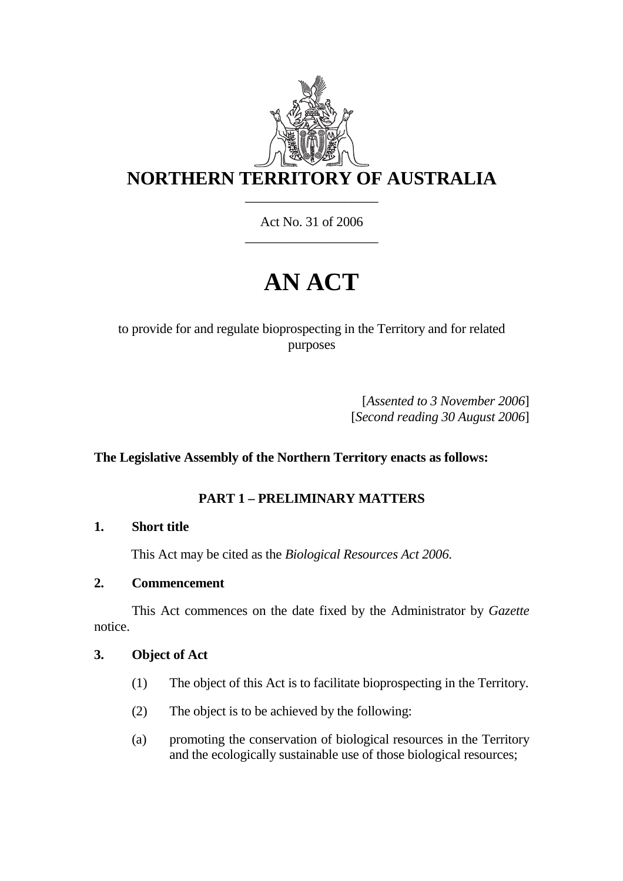

Act No. 31 of 2006 \_\_\_\_\_\_\_\_\_\_\_\_\_\_\_\_\_\_\_\_

# **AN ACT**

# to provide for and regulate bioprospecting in the Territory and for related purposes

[*Assented to 3 November 2006*] [*Second reading 30 August 2006*]

# **The Legislative Assembly of the Northern Territory enacts as follows:**

# **PART 1 – PRELIMINARY MATTERS**

# **1. Short title**

This Act may be cited as the *Biological Resources Act 2006*.

# **2. Commencement**

 This Act commences on the date fixed by the Administrator by *Gazette* notice.

# **3. Object of Act**

- (1) The object of this Act is to facilitate bioprospecting in the Territory.
- (2) The object is to be achieved by the following:
- (a) promoting the conservation of biological resources in the Territory and the ecologically sustainable use of those biological resources;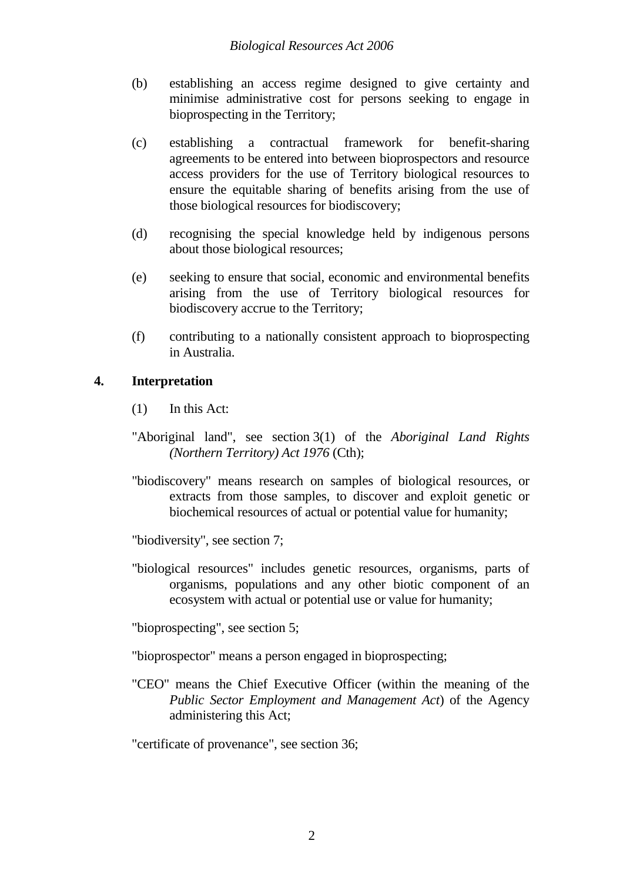- (b) establishing an access regime designed to give certainty and minimise administrative cost for persons seeking to engage in bioprospecting in the Territory;
- (c) establishing a contractual framework for benefit-sharing agreements to be entered into between bioprospectors and resource access providers for the use of Territory biological resources to ensure the equitable sharing of benefits arising from the use of those biological resources for biodiscovery;
- (d) recognising the special knowledge held by indigenous persons about those biological resources;
- (e) seeking to ensure that social, economic and environmental benefits arising from the use of Territory biological resources for biodiscovery accrue to the Territory;
- (f) contributing to a nationally consistent approach to bioprospecting in Australia.

# **4. Interpretation**

- (1) In this Act:
- "Aboriginal land", see section 3(1) of the *Aboriginal Land Rights (Northern Territory) Act 1976* (Cth);
- "biodiscovery" means research on samples of biological resources, or extracts from those samples, to discover and exploit genetic or biochemical resources of actual or potential value for humanity;
- "biodiversity", see section 7;
- "biological resources" includes genetic resources, organisms, parts of organisms, populations and any other biotic component of an ecosystem with actual or potential use or value for humanity;
- "bioprospecting", see section 5;
- "bioprospector" means a person engaged in bioprospecting;
- "CEO" means the Chief Executive Officer (within the meaning of the *Public Sector Employment and Management Act*) of the Agency administering this Act;

"certificate of provenance", see section 36;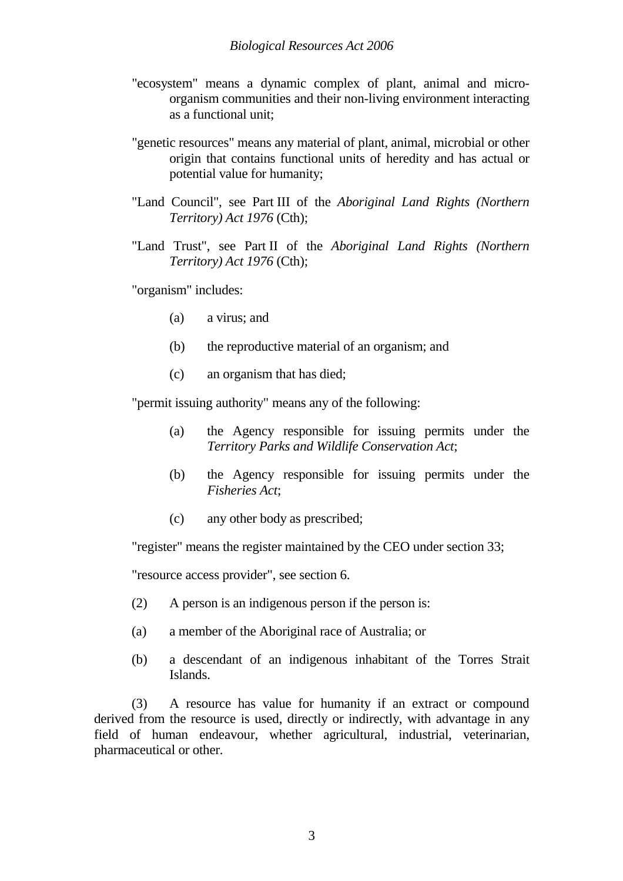- "ecosystem" means a dynamic complex of plant, animal and microorganism communities and their non-living environment interacting as a functional unit;
- "genetic resources" means any material of plant, animal, microbial or other origin that contains functional units of heredity and has actual or potential value for humanity;
- "Land Council", see Part III of the *Aboriginal Land Rights (Northern Territory) Act 1976* (Cth);
- "Land Trust", see Part II of the *Aboriginal Land Rights (Northern Territory) Act 1976* (Cth);

"organism" includes:

- (a) a virus; and
- (b) the reproductive material of an organism; and
- (c) an organism that has died;

"permit issuing authority" means any of the following:

- (a) the Agency responsible for issuing permits under the *Territory Parks and Wildlife Conservation Act*;
- (b) the Agency responsible for issuing permits under the *Fisheries Act*;
- (c) any other body as prescribed;

"register" means the register maintained by the CEO under section 33;

"resource access provider", see section 6.

- (2) A person is an indigenous person if the person is:
- (a) a member of the Aboriginal race of Australia; or
- (b) a descendant of an indigenous inhabitant of the Torres Strait Islands.

 (3) A resource has value for humanity if an extract or compound derived from the resource is used, directly or indirectly, with advantage in any field of human endeavour, whether agricultural, industrial, veterinarian, pharmaceutical or other.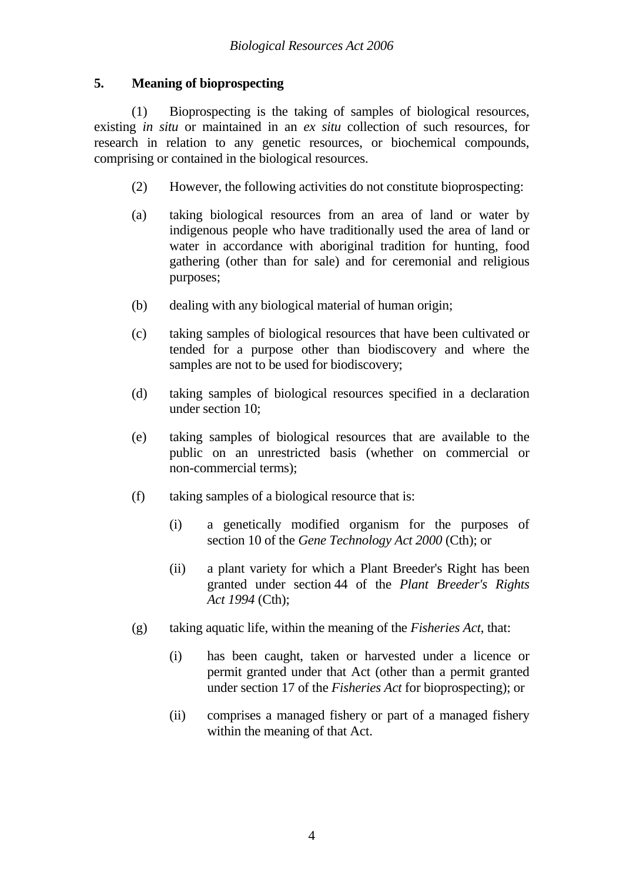# **5. Meaning of bioprospecting**

 (1) Bioprospecting is the taking of samples of biological resources, existing *in situ* or maintained in an *ex situ* collection of such resources, for research in relation to any genetic resources, or biochemical compounds, comprising or contained in the biological resources.

- (2) However, the following activities do not constitute bioprospecting:
- (a) taking biological resources from an area of land or water by indigenous people who have traditionally used the area of land or water in accordance with aboriginal tradition for hunting, food gathering (other than for sale) and for ceremonial and religious purposes;
- (b) dealing with any biological material of human origin;
- (c) taking samples of biological resources that have been cultivated or tended for a purpose other than biodiscovery and where the samples are not to be used for biodiscovery;
- (d) taking samples of biological resources specified in a declaration under section 10;
- (e) taking samples of biological resources that are available to the public on an unrestricted basis (whether on commercial or non-commercial terms);
- (f) taking samples of a biological resource that is:
	- (i) a genetically modified organism for the purposes of section 10 of the *Gene Technology Act 2000* (Cth); or
	- (ii) a plant variety for which a Plant Breeder's Right has been granted under section 44 of the *Plant Breeder's Rights Act 1994* (Cth);
- (g) taking aquatic life, within the meaning of the *Fisheries Act*, that:
	- (i) has been caught, taken or harvested under a licence or permit granted under that Act (other than a permit granted under section 17 of the *Fisheries Act* for bioprospecting); or
	- (ii) comprises a managed fishery or part of a managed fishery within the meaning of that Act.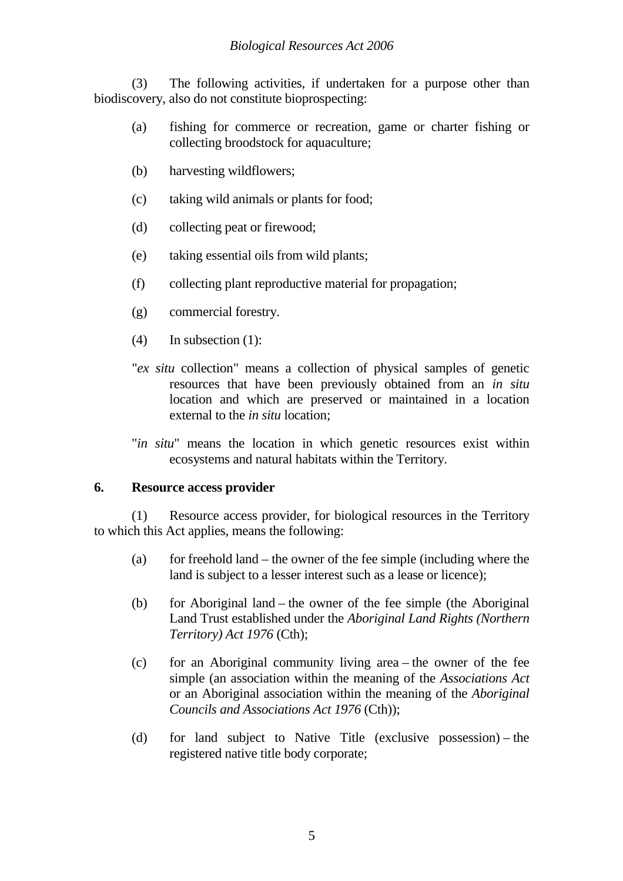(3) The following activities, if undertaken for a purpose other than biodiscovery, also do not constitute bioprospecting:

- (a) fishing for commerce or recreation, game or charter fishing or collecting broodstock for aquaculture;
- (b) harvesting wildflowers;
- (c) taking wild animals or plants for food;
- (d) collecting peat or firewood;
- (e) taking essential oils from wild plants;
- (f) collecting plant reproductive material for propagation;
- (g) commercial forestry.
- (4) In subsection (1):
- "*ex situ* collection" means a collection of physical samples of genetic resources that have been previously obtained from an *in situ* location and which are preserved or maintained in a location external to the *in situ* location;
- "*in situ*" means the location in which genetic resources exist within ecosystems and natural habitats within the Territory.

#### **6. Resource access provider**

(1) Resource access provider, for biological resources in the Territory to which this Act applies, means the following:

- (a) for freehold land the owner of the fee simple (including where the land is subject to a lesser interest such as a lease or licence);
- (b) for Aboriginal land the owner of the fee simple (the Aboriginal Land Trust established under the *Aboriginal Land Rights (Northern Territory) Act 1976* (Cth);
- (c) for an Aboriginal community living area the owner of the fee simple (an association within the meaning of the *Associations Act*  or an Aboriginal association within the meaning of the *Aboriginal Councils and Associations Act 1976* (Cth));
- (d) for land subject to Native Title (exclusive possession) the registered native title body corporate;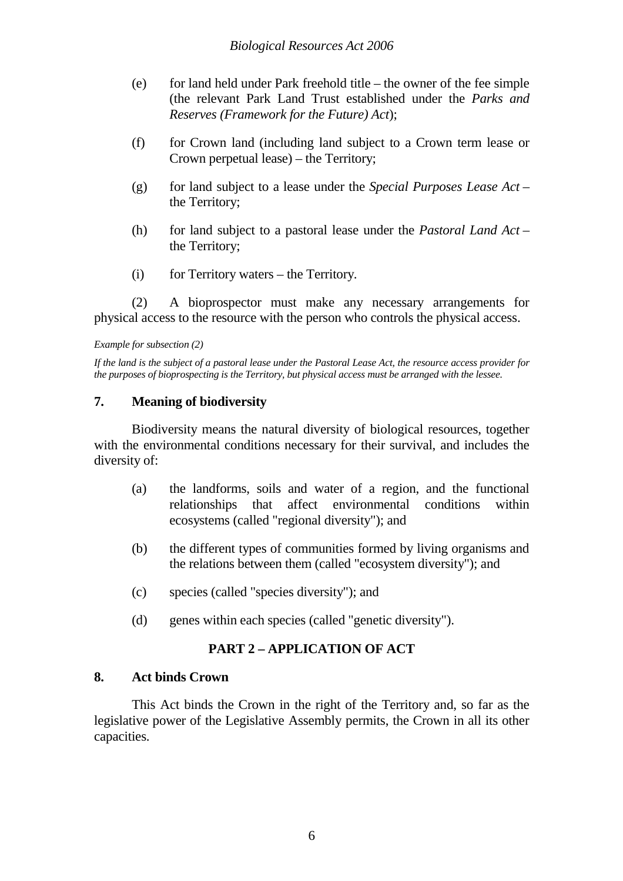- (e) for land held under Park freehold title the owner of the fee simple (the relevant Park Land Trust established under the *Parks and Reserves (Framework for the Future) Act*);
- (f) for Crown land (including land subject to a Crown term lease or Crown perpetual lease) – the Territory;
- (g) for land subject to a lease under the *Special Purposes Lease Act* the Territory;
- (h) for land subject to a pastoral lease under the *Pastoral Land Act*  the Territory;
- (i) for Territory waters the Territory.

(2) A bioprospector must make any necessary arrangements for physical access to the resource with the person who controls the physical access.

#### *Example for subsection (2)*

*If the land is the subject of a pastoral lease under the Pastoral Lease Act, the resource access provider for the purposes of bioprospecting is the Territory, but physical access must be arranged with the lessee.* 

## **7. Meaning of biodiversity**

 Biodiversity means the natural diversity of biological resources, together with the environmental conditions necessary for their survival, and includes the diversity of:

- (a) the landforms, soils and water of a region, and the functional relationships that affect environmental conditions within ecosystems (called "regional diversity"); and
- (b) the different types of communities formed by living organisms and the relations between them (called "ecosystem diversity"); and
- (c) species (called "species diversity"); and
- (d) genes within each species (called "genetic diversity").

# **PART 2 – APPLICATION OF ACT**

#### **8. Act binds Crown**

This Act binds the Crown in the right of the Territory and, so far as the legislative power of the Legislative Assembly permits, the Crown in all its other capacities.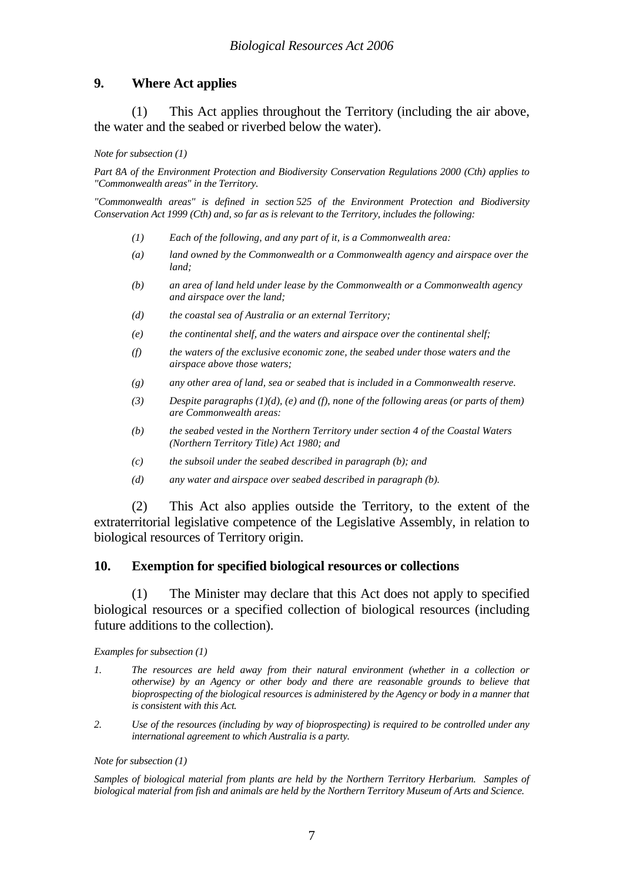# **9. Where Act applies**

(1) This Act applies throughout the Territory (including the air above, the water and the seabed or riverbed below the water).

*Note for subsection (1)* 

*Part 8A of the Environment Protection and Biodiversity Conservation Regulations 2000 (Cth) applies to "Commonwealth areas" in the Territory.* 

*"Commonwealth areas" is defined in section 525 of the Environment Protection and Biodiversity Conservation Act 1999 (Cth) and, so far as is relevant to the Territory, includes the following:* 

- *(1) Each of the following, and any part of it, is a Commonwealth area:*
- *(a) land owned by the Commonwealth or a Commonwealth agency and airspace over the land;*
- *(b) an area of land held under lease by the Commonwealth or a Commonwealth agency and airspace over the land;*
- *(d) the coastal sea of Australia or an external Territory;*
- *(e) the continental shelf, and the waters and airspace over the continental shelf;*
- *(f) the waters of the exclusive economic zone, the seabed under those waters and the airspace above those waters;*
- *(g) any other area of land, sea or seabed that is included in a Commonwealth reserve.*
- *(3) Despite paragraphs (1)(d), (e) and (f), none of the following areas (or parts of them) are Commonwealth areas:*
- *(b) the seabed vested in the Northern Territory under section 4 of the Coastal Waters (Northern Territory Title) Act 1980; and*
- *(c) the subsoil under the seabed described in paragraph (b); and*
- *(d) any water and airspace over seabed described in paragraph (b).*

 (2) This Act also applies outside the Territory, to the extent of the extraterritorial legislative competence of the Legislative Assembly, in relation to biological resources of Territory origin.

#### **10. Exemption for specified biological resources or collections**

(1) The Minister may declare that this Act does not apply to specified biological resources or a specified collection of biological resources (including future additions to the collection).

*Examples for subsection (1)* 

- *1. The resources are held away from their natural environment (whether in a collection or otherwise) by an Agency or other body and there are reasonable grounds to believe that bioprospecting of the biological resources is administered by the Agency or body in a manner that is consistent with this Act.*
- *2. Use of the resources (including by way of bioprospecting) is required to be controlled under any international agreement to which Australia is a party.*

#### *Note for subsection (1)*

*Samples of biological material from plants are held by the Northern Territory Herbarium. Samples of biological material from fish and animals are held by the Northern Territory Museum of Arts and Science.*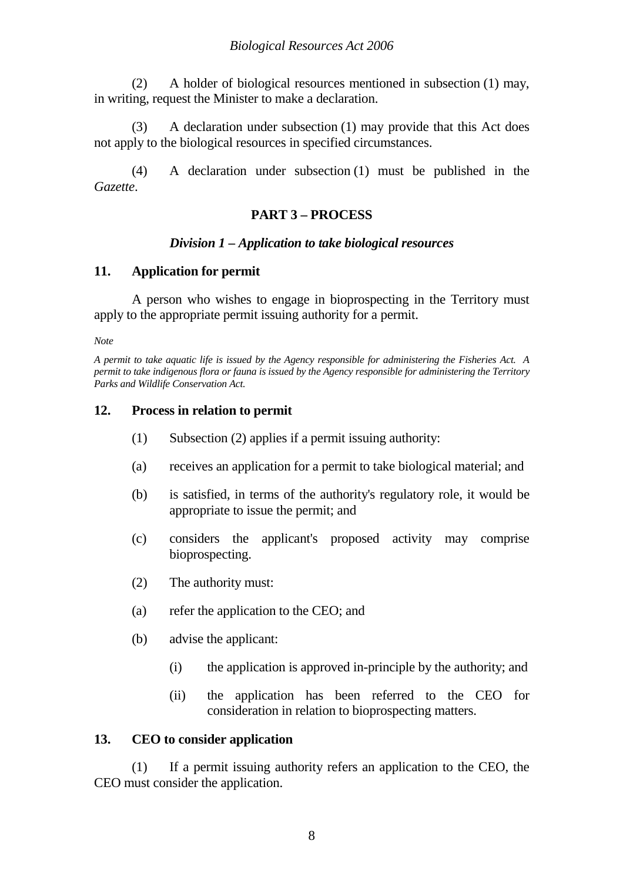(2) A holder of biological resources mentioned in subsection (1) may, in writing, request the Minister to make a declaration.

(3) A declaration under subsection (1) may provide that this Act does not apply to the biological resources in specified circumstances.

(4) A declaration under subsection (1) must be published in the *Gazette*.

# **PART 3 – PROCESS**

## *Division 1 – Application to take biological resources*

## **11. Application for permit**

 A person who wishes to engage in bioprospecting in the Territory must apply to the appropriate permit issuing authority for a permit.

*Note* 

*A permit to take aquatic life is issued by the Agency responsible for administering the Fisheries Act. A permit to take indigenous flora or fauna is issued by the Agency responsible for administering the Territory Parks and Wildlife Conservation Act.* 

# **12. Process in relation to permit**

- (1) Subsection (2) applies if a permit issuing authority:
- (a) receives an application for a permit to take biological material; and
- (b) is satisfied, in terms of the authority's regulatory role, it would be appropriate to issue the permit; and
- (c) considers the applicant's proposed activity may comprise bioprospecting.
- (2) The authority must:
- (a) refer the application to the CEO; and
- (b) advise the applicant:
	- (i) the application is approved in-principle by the authority; and
	- (ii) the application has been referred to the CEO for consideration in relation to bioprospecting matters.

#### **13. CEO to consider application**

(1) If a permit issuing authority refers an application to the CEO, the CEO must consider the application.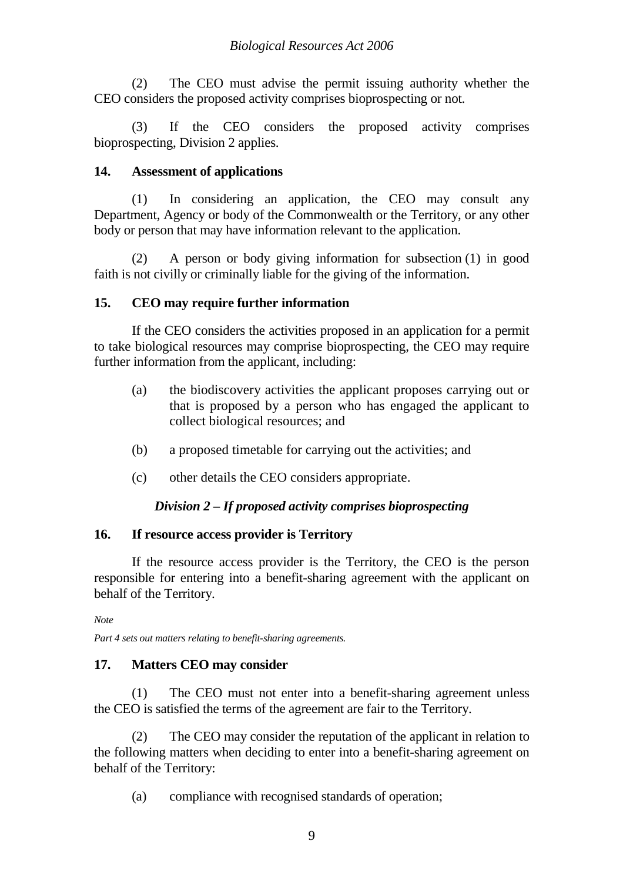(2) The CEO must advise the permit issuing authority whether the CEO considers the proposed activity comprises bioprospecting or not.

(3) If the CEO considers the proposed activity comprises bioprospecting, Division 2 applies.

# **14. Assessment of applications**

(1) In considering an application, the CEO may consult any Department, Agency or body of the Commonwealth or the Territory, or any other body or person that may have information relevant to the application.

(2) A person or body giving information for subsection (1) in good faith is not civilly or criminally liable for the giving of the information.

# **15. CEO may require further information**

If the CEO considers the activities proposed in an application for a permit to take biological resources may comprise bioprospecting, the CEO may require further information from the applicant, including:

- (a) the biodiscovery activities the applicant proposes carrying out or that is proposed by a person who has engaged the applicant to collect biological resources; and
- (b) a proposed timetable for carrying out the activities; and
- (c) other details the CEO considers appropriate.

# *Division 2 – If proposed activity comprises bioprospecting*

# **16. If resource access provider is Territory**

If the resource access provider is the Territory, the CEO is the person responsible for entering into a benefit-sharing agreement with the applicant on behalf of the Territory.

*Note* 

*Part 4 sets out matters relating to benefit-sharing agreements.* 

# **17. Matters CEO may consider**

(1) The CEO must not enter into a benefit-sharing agreement unless the CEO is satisfied the terms of the agreement are fair to the Territory.

(2) The CEO may consider the reputation of the applicant in relation to the following matters when deciding to enter into a benefit-sharing agreement on behalf of the Territory:

(a) compliance with recognised standards of operation;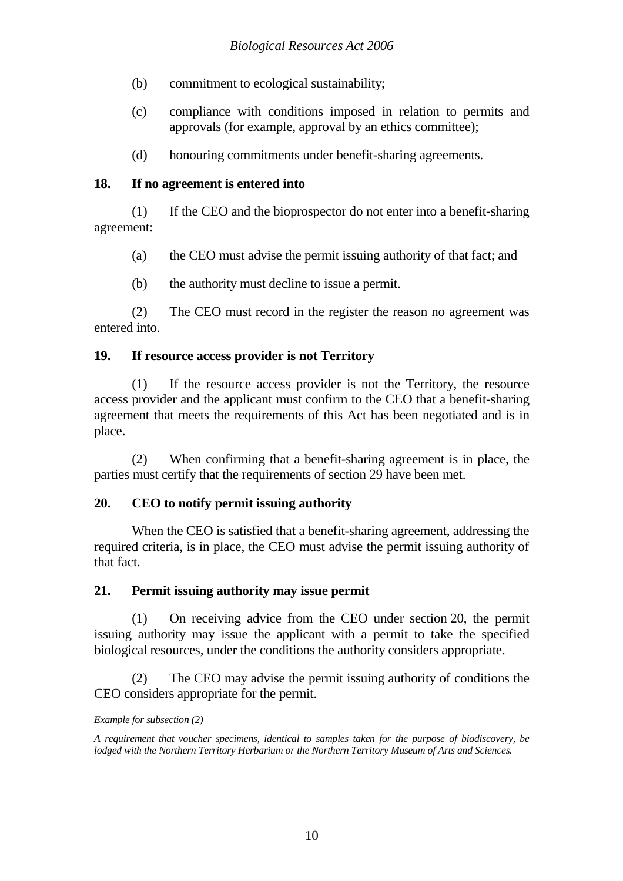- (b) commitment to ecological sustainability;
- (c) compliance with conditions imposed in relation to permits and approvals (for example, approval by an ethics committee);
- (d) honouring commitments under benefit-sharing agreements.

# **18. If no agreement is entered into**

(1) If the CEO and the bioprospector do not enter into a benefit-sharing agreement:

- (a) the CEO must advise the permit issuing authority of that fact; and
- (b) the authority must decline to issue a permit.

(2) The CEO must record in the register the reason no agreement was entered into.

# **19. If resource access provider is not Territory**

(1) If the resource access provider is not the Territory, the resource access provider and the applicant must confirm to the CEO that a benefit-sharing agreement that meets the requirements of this Act has been negotiated and is in place.

(2) When confirming that a benefit-sharing agreement is in place, the parties must certify that the requirements of section 29 have been met.

# **20. CEO to notify permit issuing authority**

When the CEO is satisfied that a benefit-sharing agreement, addressing the required criteria, is in place, the CEO must advise the permit issuing authority of that fact.

# **21. Permit issuing authority may issue permit**

(1) On receiving advice from the CEO under section 20, the permit issuing authority may issue the applicant with a permit to take the specified biological resources, under the conditions the authority considers appropriate.

(2) The CEO may advise the permit issuing authority of conditions the CEO considers appropriate for the permit.

# *Example for subsection (2)*

*A requirement that voucher specimens, identical to samples taken for the purpose of biodiscovery, be lodged with the Northern Territory Herbarium or the Northern Territory Museum of Arts and Sciences.*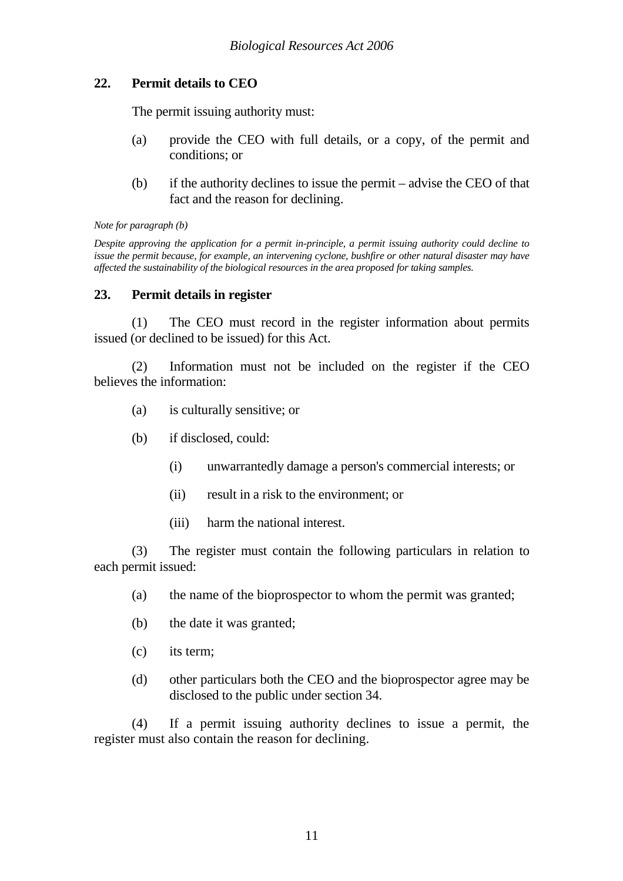# **22. Permit details to CEO**

The permit issuing authority must:

- (a) provide the CEO with full details, or a copy, of the permit and conditions; or
- (b) if the authority declines to issue the permit advise the CEO of that fact and the reason for declining.

#### *Note for paragraph (b)*

*Despite approving the application for a permit in-principle, a permit issuing authority could decline to issue the permit because, for example, an intervening cyclone, bushfire or other natural disaster may have affected the sustainability of the biological resources in the area proposed for taking samples.* 

## **23. Permit details in register**

(1) The CEO must record in the register information about permits issued (or declined to be issued) for this Act.

(2) Information must not be included on the register if the CEO believes the information:

- (a) is culturally sensitive; or
- (b) if disclosed, could:
	- (i) unwarrantedly damage a person's commercial interests; or
	- (ii) result in a risk to the environment; or
	- (iii) harm the national interest.

 (3) The register must contain the following particulars in relation to each permit issued:

- (a) the name of the bioprospector to whom the permit was granted;
- (b) the date it was granted;
- (c) its term;
- (d) other particulars both the CEO and the bioprospector agree may be disclosed to the public under section 34.

 (4) If a permit issuing authority declines to issue a permit, the register must also contain the reason for declining.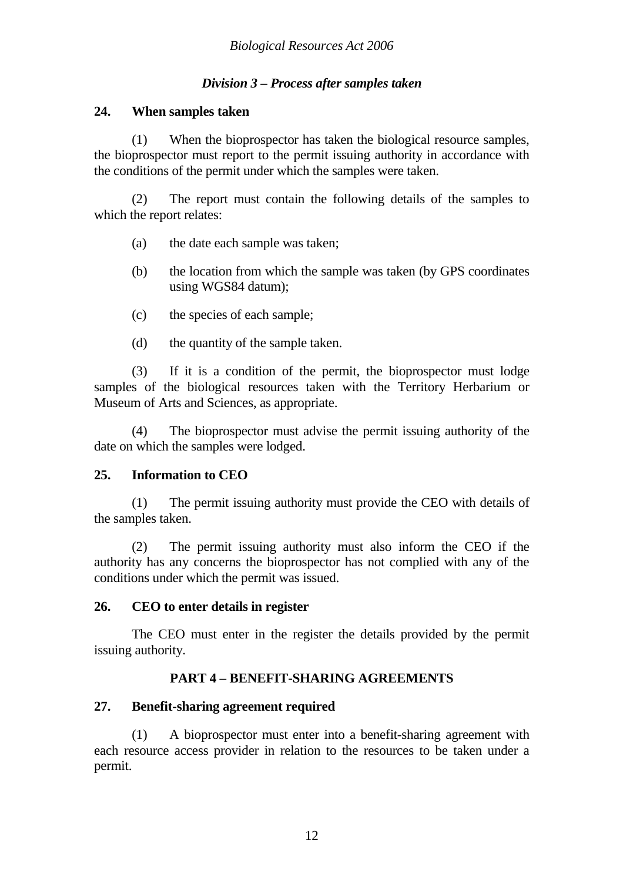# *Division 3 – Process after samples taken*

# **24. When samples taken**

(1) When the bioprospector has taken the biological resource samples, the bioprospector must report to the permit issuing authority in accordance with the conditions of the permit under which the samples were taken.

(2) The report must contain the following details of the samples to which the report relates:

- (a) the date each sample was taken;
- (b) the location from which the sample was taken (by GPS coordinates using WGS84 datum);
- (c) the species of each sample;
- (d) the quantity of the sample taken.

(3) If it is a condition of the permit, the bioprospector must lodge samples of the biological resources taken with the Territory Herbarium or Museum of Arts and Sciences, as appropriate.

(4) The bioprospector must advise the permit issuing authority of the date on which the samples were lodged.

# **25. Information to CEO**

(1) The permit issuing authority must provide the CEO with details of the samples taken.

(2) The permit issuing authority must also inform the CEO if the authority has any concerns the bioprospector has not complied with any of the conditions under which the permit was issued.

# **26. CEO to enter details in register**

The CEO must enter in the register the details provided by the permit issuing authority.

# **PART 4 – BENEFIT-SHARING AGREEMENTS**

# **27. Benefit-sharing agreement required**

(1) A bioprospector must enter into a benefit-sharing agreement with each resource access provider in relation to the resources to be taken under a permit.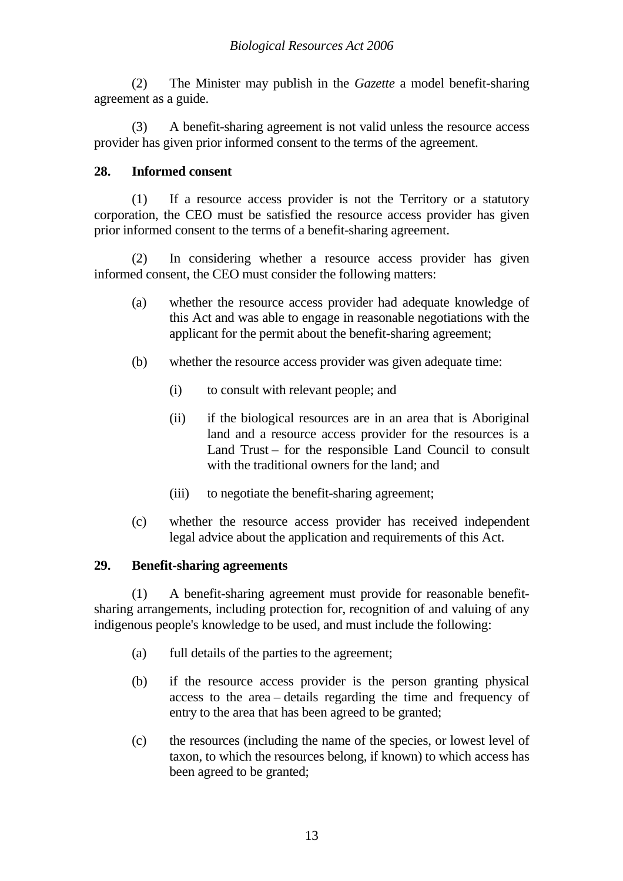(2) The Minister may publish in the *Gazette* a model benefit-sharing agreement as a guide.

 (3) A benefit-sharing agreement is not valid unless the resource access provider has given prior informed consent to the terms of the agreement.

# **28. Informed consent**

(1) If a resource access provider is not the Territory or a statutory corporation, the CEO must be satisfied the resource access provider has given prior informed consent to the terms of a benefit-sharing agreement.

(2) In considering whether a resource access provider has given informed consent, the CEO must consider the following matters:

- (a) whether the resource access provider had adequate knowledge of this Act and was able to engage in reasonable negotiations with the applicant for the permit about the benefit-sharing agreement;
- (b) whether the resource access provider was given adequate time:
	- (i) to consult with relevant people; and
	- (ii) if the biological resources are in an area that is Aboriginal land and a resource access provider for the resources is a Land Trust – for the responsible Land Council to consult with the traditional owners for the land; and
	- (iii) to negotiate the benefit-sharing agreement;
- (c) whether the resource access provider has received independent legal advice about the application and requirements of this Act.

# **29. Benefit-sharing agreements**

(1) A benefit-sharing agreement must provide for reasonable benefitsharing arrangements, including protection for, recognition of and valuing of any indigenous people's knowledge to be used, and must include the following:

- (a) full details of the parties to the agreement;
- (b) if the resource access provider is the person granting physical access to the area – details regarding the time and frequency of entry to the area that has been agreed to be granted;
- (c) the resources (including the name of the species, or lowest level of taxon, to which the resources belong, if known) to which access has been agreed to be granted;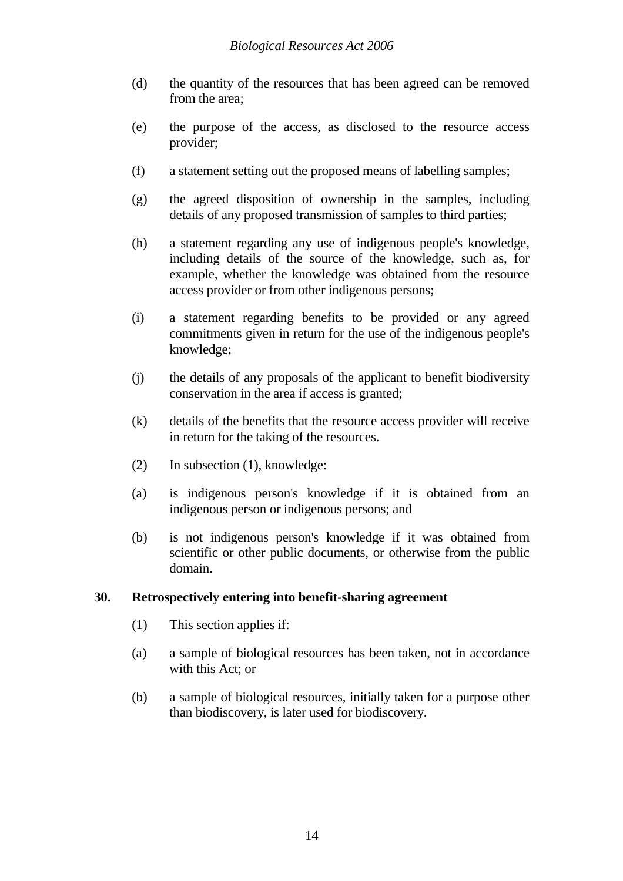- (d) the quantity of the resources that has been agreed can be removed from the area;
- (e) the purpose of the access, as disclosed to the resource access provider;
- (f) a statement setting out the proposed means of labelling samples;
- (g) the agreed disposition of ownership in the samples, including details of any proposed transmission of samples to third parties;
- (h) a statement regarding any use of indigenous people's knowledge, including details of the source of the knowledge, such as, for example, whether the knowledge was obtained from the resource access provider or from other indigenous persons;
- (i) a statement regarding benefits to be provided or any agreed commitments given in return for the use of the indigenous people's knowledge;
- (j) the details of any proposals of the applicant to benefit biodiversity conservation in the area if access is granted;
- (k) details of the benefits that the resource access provider will receive in return for the taking of the resources.
- (2) In subsection (1), knowledge:
- (a) is indigenous person's knowledge if it is obtained from an indigenous person or indigenous persons; and
- (b) is not indigenous person's knowledge if it was obtained from scientific or other public documents, or otherwise from the public domain.

# **30. Retrospectively entering into benefit-sharing agreement**

- (1) This section applies if:
- (a) a sample of biological resources has been taken, not in accordance with this Act; or
- (b) a sample of biological resources, initially taken for a purpose other than biodiscovery, is later used for biodiscovery.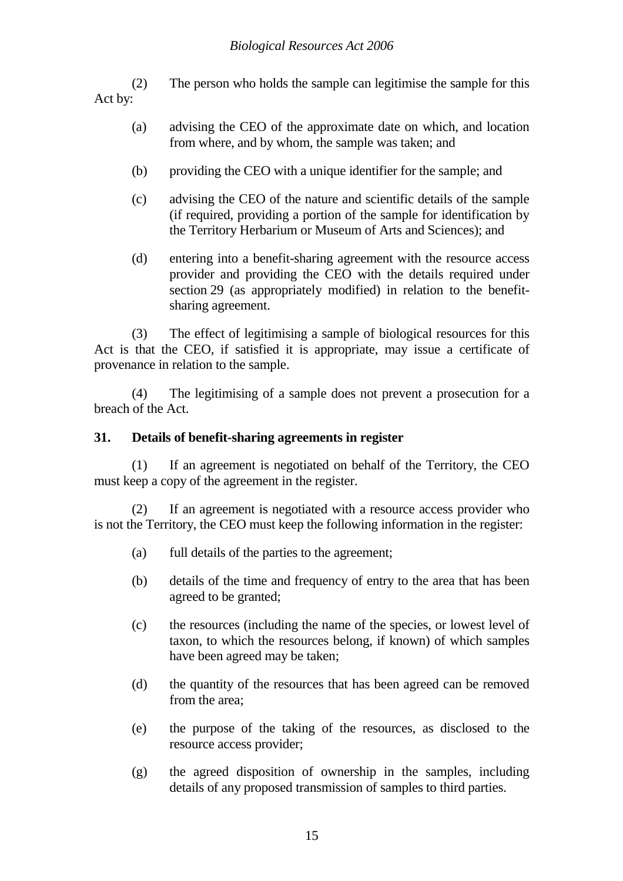(2) The person who holds the sample can legitimise the sample for this Act by:

- (a) advising the CEO of the approximate date on which, and location from where, and by whom, the sample was taken; and
- (b) providing the CEO with a unique identifier for the sample; and
- (c) advising the CEO of the nature and scientific details of the sample (if required, providing a portion of the sample for identification by the Territory Herbarium or Museum of Arts and Sciences); and
- (d) entering into a benefit-sharing agreement with the resource access provider and providing the CEO with the details required under section 29 (as appropriately modified) in relation to the benefitsharing agreement.

(3) The effect of legitimising a sample of biological resources for this Act is that the CEO, if satisfied it is appropriate, may issue a certificate of provenance in relation to the sample.

(4) The legitimising of a sample does not prevent a prosecution for a breach of the Act.

# **31. Details of benefit-sharing agreements in register**

(1) If an agreement is negotiated on behalf of the Territory, the CEO must keep a copy of the agreement in the register.

(2) If an agreement is negotiated with a resource access provider who is not the Territory, the CEO must keep the following information in the register:

- (a) full details of the parties to the agreement;
- (b) details of the time and frequency of entry to the area that has been agreed to be granted;
- (c) the resources (including the name of the species, or lowest level of taxon, to which the resources belong, if known) of which samples have been agreed may be taken;
- (d) the quantity of the resources that has been agreed can be removed from the area;
- (e) the purpose of the taking of the resources, as disclosed to the resource access provider;
- (g) the agreed disposition of ownership in the samples, including details of any proposed transmission of samples to third parties.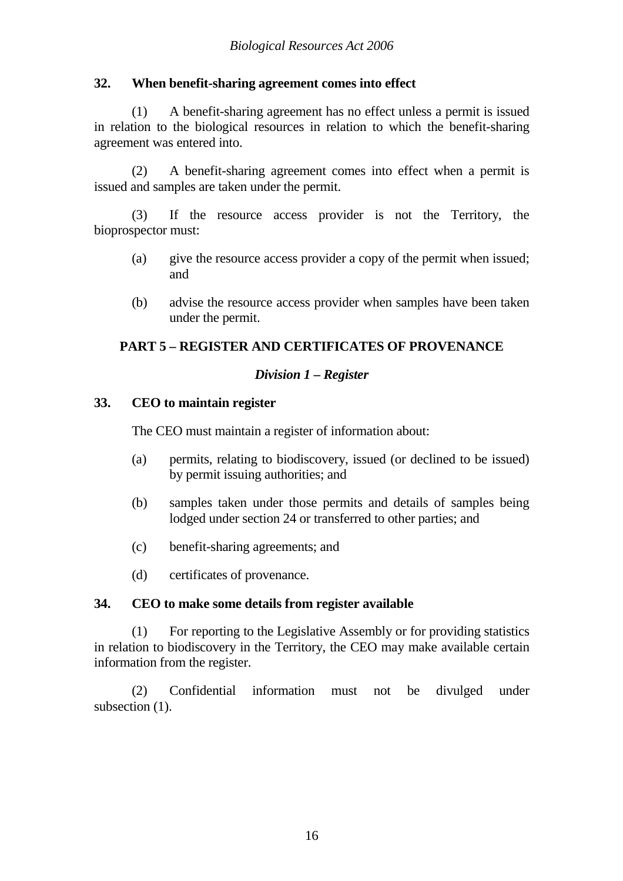# **32. When benefit-sharing agreement comes into effect**

(1) A benefit-sharing agreement has no effect unless a permit is issued in relation to the biological resources in relation to which the benefit-sharing agreement was entered into.

(2) A benefit-sharing agreement comes into effect when a permit is issued and samples are taken under the permit.

(3) If the resource access provider is not the Territory, the bioprospector must:

- (a) give the resource access provider a copy of the permit when issued; and
- (b) advise the resource access provider when samples have been taken under the permit.

# **PART 5 – REGISTER AND CERTIFICATES OF PROVENANCE**

# *Division 1 – Register*

## **33. CEO to maintain register**

The CEO must maintain a register of information about:

- (a) permits, relating to biodiscovery, issued (or declined to be issued) by permit issuing authorities; and
- (b) samples taken under those permits and details of samples being lodged under section 24 or transferred to other parties; and
- (c) benefit-sharing agreements; and
- (d) certificates of provenance.

#### **34. CEO to make some details from register available**

 (1) For reporting to the Legislative Assembly or for providing statistics in relation to biodiscovery in the Territory, the CEO may make available certain information from the register.

 (2) Confidential information must not be divulged under subsection (1).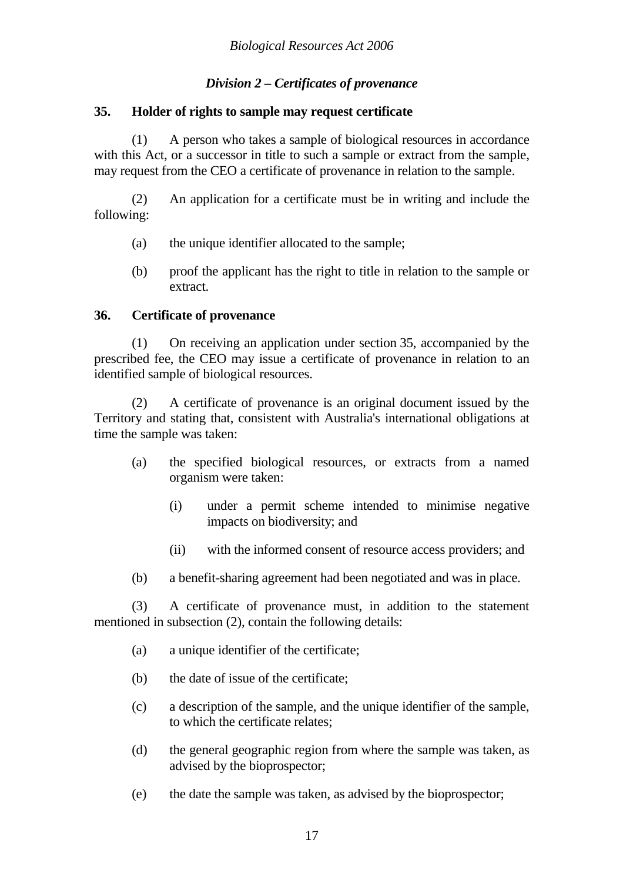# *Division 2 – Certificates of provenance*

## **35. Holder of rights to sample may request certificate**

(1) A person who takes a sample of biological resources in accordance with this Act, or a successor in title to such a sample or extract from the sample, may request from the CEO a certificate of provenance in relation to the sample.

(2) An application for a certificate must be in writing and include the following:

- (a) the unique identifier allocated to the sample;
- (b) proof the applicant has the right to title in relation to the sample or extract.

# **36. Certificate of provenance**

(1) On receiving an application under section 35, accompanied by the prescribed fee, the CEO may issue a certificate of provenance in relation to an identified sample of biological resources.

(2) A certificate of provenance is an original document issued by the Territory and stating that, consistent with Australia's international obligations at time the sample was taken:

- (a) the specified biological resources, or extracts from a named organism were taken:
	- (i) under a permit scheme intended to minimise negative impacts on biodiversity; and
	- (ii) with the informed consent of resource access providers; and
- (b) a benefit-sharing agreement had been negotiated and was in place.

(3) A certificate of provenance must, in addition to the statement mentioned in subsection (2), contain the following details:

- (a) a unique identifier of the certificate;
- (b) the date of issue of the certificate;
- (c) a description of the sample, and the unique identifier of the sample, to which the certificate relates;
- (d) the general geographic region from where the sample was taken, as advised by the bioprospector;
- (e) the date the sample was taken, as advised by the bioprospector;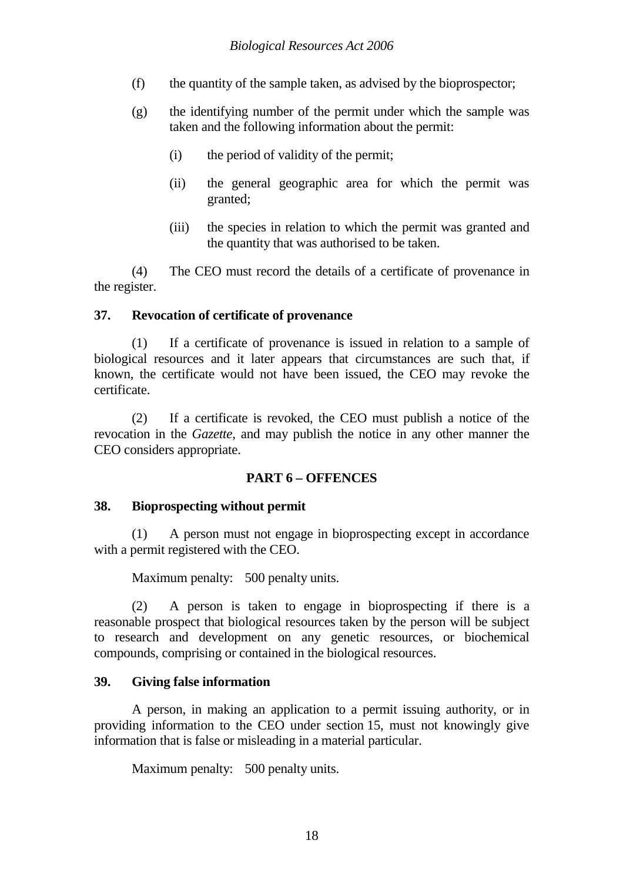- (f) the quantity of the sample taken, as advised by the bioprospector;
- (g) the identifying number of the permit under which the sample was taken and the following information about the permit:
	- (i) the period of validity of the permit;
	- (ii) the general geographic area for which the permit was granted;
	- (iii) the species in relation to which the permit was granted and the quantity that was authorised to be taken.

(4) The CEO must record the details of a certificate of provenance in the register.

# **37. Revocation of certificate of provenance**

(1) If a certificate of provenance is issued in relation to a sample of biological resources and it later appears that circumstances are such that, if known, the certificate would not have been issued, the CEO may revoke the certificate.

 (2) If a certificate is revoked, the CEO must publish a notice of the revocation in the *Gazette*, and may publish the notice in any other manner the CEO considers appropriate.

# **PART 6 – OFFENCES**

# **38. Bioprospecting without permit**

(1) A person must not engage in bioprospecting except in accordance with a permit registered with the CEO.

Maximum penalty: 500 penalty units.

 (2) A person is taken to engage in bioprospecting if there is a reasonable prospect that biological resources taken by the person will be subject to research and development on any genetic resources, or biochemical compounds, comprising or contained in the biological resources.

# **39. Giving false information**

A person, in making an application to a permit issuing authority, or in providing information to the CEO under section 15, must not knowingly give information that is false or misleading in a material particular.

Maximum penalty: 500 penalty units.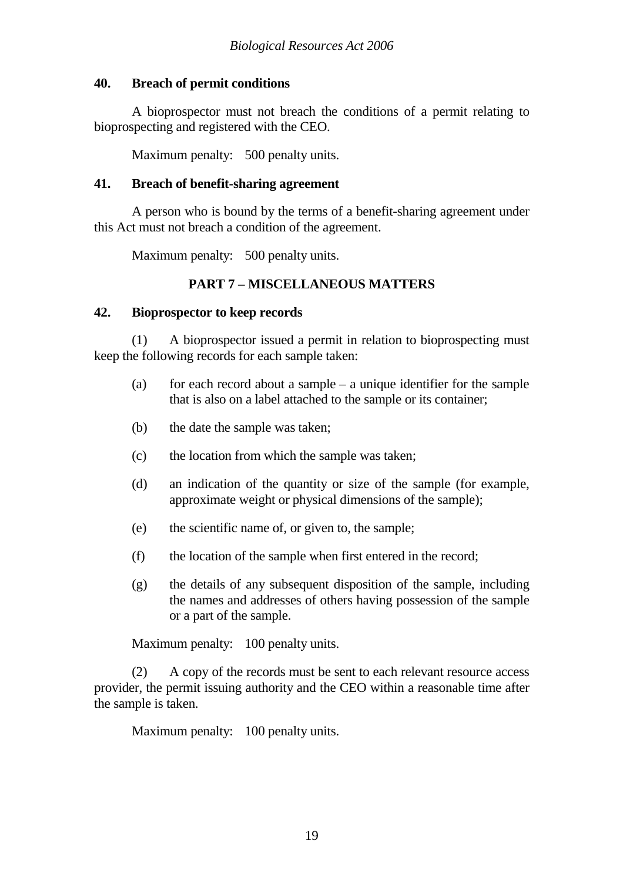# **40. Breach of permit conditions**

A bioprospector must not breach the conditions of a permit relating to bioprospecting and registered with the CEO.

Maximum penalty: 500 penalty units.

# **41. Breach of benefit-sharing agreement**

A person who is bound by the terms of a benefit-sharing agreement under this Act must not breach a condition of the agreement.

Maximum penalty: 500 penalty units.

# **PART 7 – MISCELLANEOUS MATTERS**

# **42. Bioprospector to keep records**

(1) A bioprospector issued a permit in relation to bioprospecting must keep the following records for each sample taken:

- (a) for each record about a sample  $-$  a unique identifier for the sample that is also on a label attached to the sample or its container;
- (b) the date the sample was taken;
- (c) the location from which the sample was taken;
- (d) an indication of the quantity or size of the sample (for example, approximate weight or physical dimensions of the sample);
- (e) the scientific name of, or given to, the sample;
- (f) the location of the sample when first entered in the record;
- (g) the details of any subsequent disposition of the sample, including the names and addresses of others having possession of the sample or a part of the sample.

Maximum penalty: 100 penalty units.

(2) A copy of the records must be sent to each relevant resource access provider, the permit issuing authority and the CEO within a reasonable time after the sample is taken.

Maximum penalty: 100 penalty units.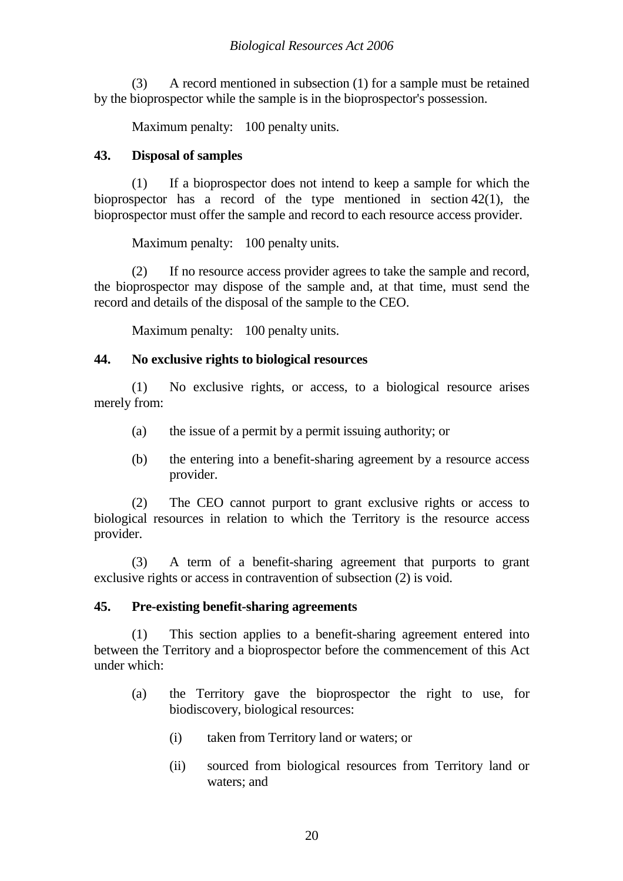# *Biological Resources Act 2006*

(3) A record mentioned in subsection (1) for a sample must be retained by the bioprospector while the sample is in the bioprospector's possession.

Maximum penalty: 100 penalty units.

# **43. Disposal of samples**

(1) If a bioprospector does not intend to keep a sample for which the bioprospector has a record of the type mentioned in section 42(1), the bioprospector must offer the sample and record to each resource access provider.

Maximum penalty: 100 penalty units.

(2) If no resource access provider agrees to take the sample and record, the bioprospector may dispose of the sample and, at that time, must send the record and details of the disposal of the sample to the CEO.

Maximum penalty: 100 penalty units.

## **44. No exclusive rights to biological resources**

(1) No exclusive rights, or access, to a biological resource arises merely from:

- (a) the issue of a permit by a permit issuing authority; or
- (b) the entering into a benefit-sharing agreement by a resource access provider.

(2) The CEO cannot purport to grant exclusive rights or access to biological resources in relation to which the Territory is the resource access provider.

(3) A term of a benefit-sharing agreement that purports to grant exclusive rights or access in contravention of subsection (2) is void.

#### **45. Pre-existing benefit-sharing agreements**

(1) This section applies to a benefit-sharing agreement entered into between the Territory and a bioprospector before the commencement of this Act under which:

- (a) the Territory gave the bioprospector the right to use, for biodiscovery, biological resources:
	- (i) taken from Territory land or waters; or
	- (ii) sourced from biological resources from Territory land or waters; and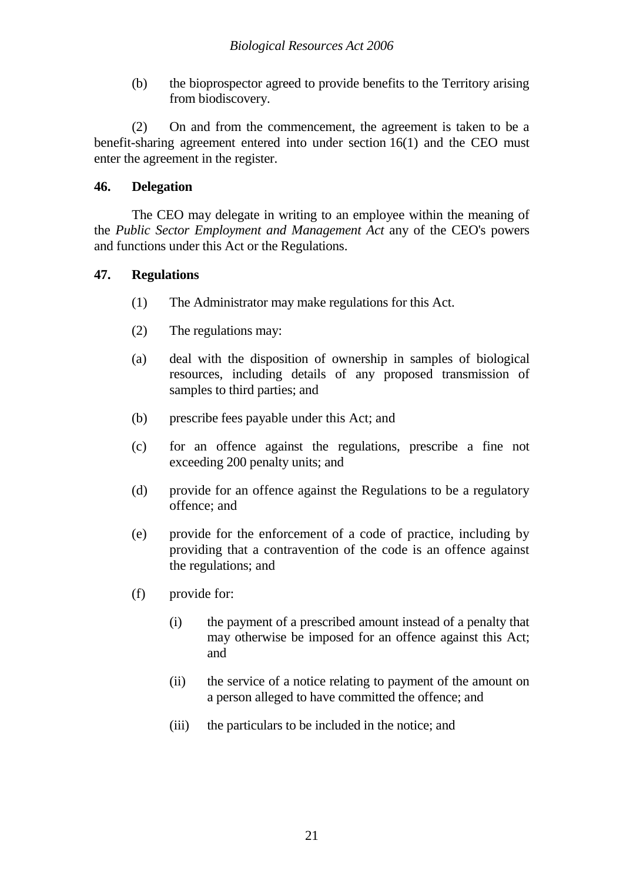(b) the bioprospector agreed to provide benefits to the Territory arising from biodiscovery.

(2) On and from the commencement, the agreement is taken to be a benefit-sharing agreement entered into under section 16(1) and the CEO must enter the agreement in the register.

# **46. Delegation**

The CEO may delegate in writing to an employee within the meaning of the *Public Sector Employment and Management Act* any of the CEO's powers and functions under this Act or the Regulations.

## **47. Regulations**

- (1) The Administrator may make regulations for this Act.
- (2) The regulations may:
- (a) deal with the disposition of ownership in samples of biological resources, including details of any proposed transmission of samples to third parties; and
- (b) prescribe fees payable under this Act; and
- (c) for an offence against the regulations, prescribe a fine not exceeding 200 penalty units; and
- (d) provide for an offence against the Regulations to be a regulatory offence; and
- (e) provide for the enforcement of a code of practice, including by providing that a contravention of the code is an offence against the regulations; and
- (f) provide for:
	- (i) the payment of a prescribed amount instead of a penalty that may otherwise be imposed for an offence against this Act; and
	- (ii) the service of a notice relating to payment of the amount on a person alleged to have committed the offence; and
	- (iii) the particulars to be included in the notice; and